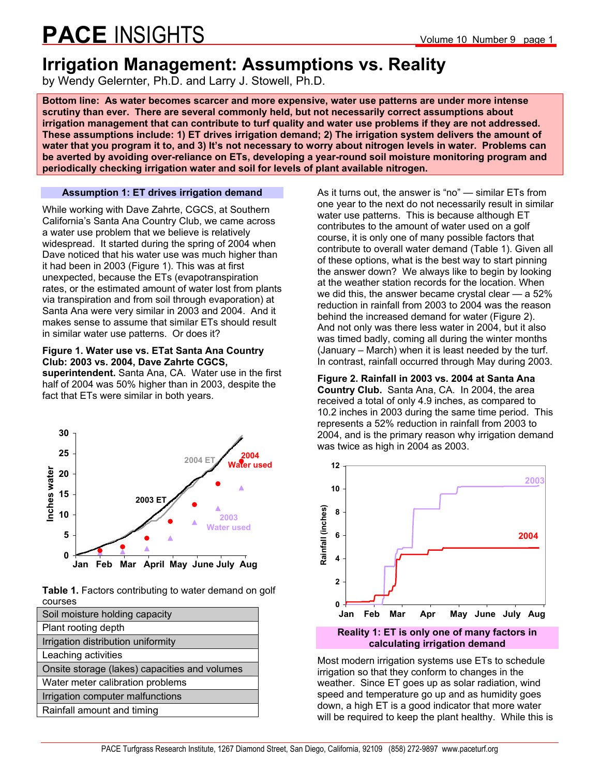## **Irrigation Management: Assumptions vs. Reality**

by Wendy Gelernter, Ph.D. and Larry J. Stowell, Ph.D.

**Bottom line: As water becomes scarcer and more expensive, water use patterns are under more intense scrutiny than ever. There are several commonly held, but not necessarily correct assumptions about irrigation management that can contribute to turf quality and water use problems if they are not addressed. These assumptions include: 1) ET drives irrigation demand; 2) The irrigation system delivers the amount of water that you program it to, and 3) It's not necessary to worry about nitrogen levels in water. Problems can be averted by avoiding over-reliance on ETs, developing a year-round soil moisture monitoring program and periodically checking irrigation water and soil for levels of plant available nitrogen.** 

**Assumption 1: ET drives irrigation demand** 

While working with Dave Zahrte, CGCS, at Southern California's Santa Ana Country Club, we came across a water use problem that we believe is relatively widespread. It started during the spring of 2004 when Dave noticed that his water use was much higher than it had been in 2003 (Figure 1). This was at first unexpected, because the ETs (evapotranspiration rates, or the estimated amount of water lost from plants via transpiration and from soil through evaporation) at Santa Ana were very similar in 2003 and 2004. And it makes sense to assume that similar ETs should result in similar water use patterns. Or does it?

### **Figure 1. Water use vs. ETat Santa Ana Country Club: 2003 vs. 2004, Dave Zahrte CGCS,**

**superintendent.** Santa Ana, CA. Water use in the first half of 2004 was 50% higher than in 2003, despite the fact that ETs were similar in both years.



**Table 1.** Factors contributing to water demand on golf courses

| Soil moisture holding capacity                |
|-----------------------------------------------|
| Plant rooting depth                           |
| Irrigation distribution uniformity            |
| Leaching activities                           |
| Onsite storage (lakes) capacities and volumes |
| Water meter calibration problems              |
| Irrigation computer malfunctions              |
| Rainfall amount and timing                    |

As it turns out, the answer is "no" — similar ETs from one year to the next do not necessarily result in similar water use patterns. This is because although ET contributes to the amount of water used on a golf course, it is only one of many possible factors that contribute to overall water demand (Table 1). Given all of these options, what is the best way to start pinning the answer down? We always like to begin by looking at the weather station records for the location. When we did this, the answer became crystal clear — a 52% reduction in rainfall from 2003 to 2004 was the reason behind the increased demand for water (Figure 2). And not only was there less water in 2004, but it also was timed badly, coming all during the winter months (January – March) when it is least needed by the turf. In contrast, rainfall occurred through May during 2003.

**Figure 2. Rainfall in 2003 vs. 2004 at Santa Ana Country Club.** Santa Ana, CA. In 2004, the area received a total of only 4.9 inches, as compared to 10.2 inches in 2003 during the same time period. This represents a 52% reduction in rainfall from 2003 to 2004, and is the primary reason why irrigation demand was twice as high in 2004 as 2003.



Most modern irrigation systems use ETs to schedule irrigation so that they conform to changes in the weather. Since ET goes up as solar radiation, wind speed and temperature go up and as humidity goes down, a high ET is a good indicator that more water will be required to keep the plant healthy. While this is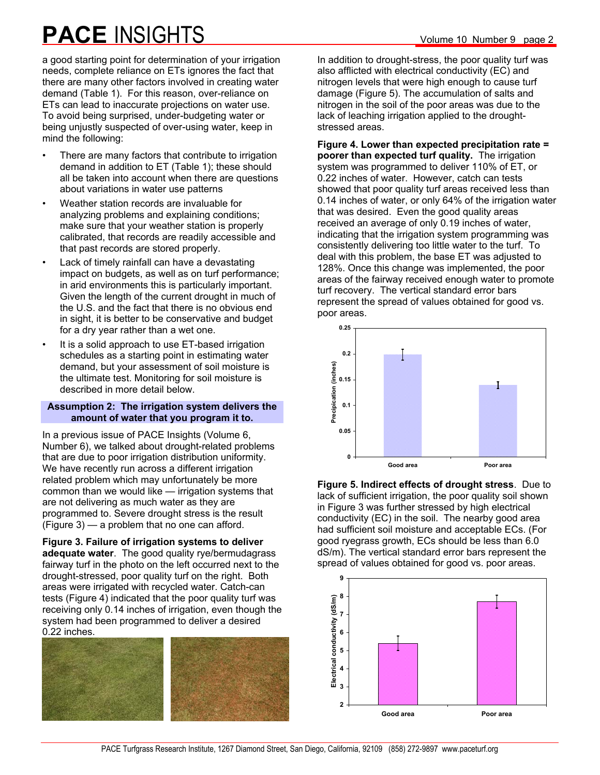a good starting point for determination of your irrigation needs, complete reliance on ETs ignores the fact that there are many other factors involved in creating water demand (Table 1). For this reason, over-reliance on ETs can lead to inaccurate projections on water use. To avoid being surprised, under-budgeting water or being unjustly suspected of over-using water, keep in mind the following:

- There are many factors that contribute to irrigation demand in addition to ET (Table 1); these should all be taken into account when there are questions about variations in water use patterns
- Weather station records are invaluable for analyzing problems and explaining conditions; make sure that your weather station is properly calibrated, that records are readily accessible and that past records are stored properly.
- Lack of timely rainfall can have a devastating impact on budgets, as well as on turf performance; in arid environments this is particularly important. Given the length of the current drought in much of the U.S. and the fact that there is no obvious end in sight, it is better to be conservative and budget for a dry year rather than a wet one.
- It is a solid approach to use ET-based irrigation schedules as a starting point in estimating water demand, but your assessment of soil moisture is the ultimate test. Monitoring for soil moisture is described in more detail below.

#### **Assumption 2: The irrigation system delivers the amount of water that you program it to.**

In a previous issue of PACE Insights (Volume 6, Number 6), we talked about drought-related problems that are due to poor irrigation distribution uniformity. We have recently run across a different irrigation related problem which may unfortunately be more common than we would like — irrigation systems that are not delivering as much water as they are programmed to. Severe drought stress is the result (Figure 3) — a problem that no one can afford.

**Figure 3. Failure of irrigation systems to deliver adequate water**. The good quality rye/bermudagrass fairway turf in the photo on the left occurred next to the drought-stressed, poor quality turf on the right. Both areas were irrigated with recycled water. Catch-can tests (Figure 4) indicated that the poor quality turf was receiving only 0.14 inches of irrigation, even though the system had been programmed to deliver a desired 0.22 inches.



In addition to drought-stress, the poor quality turf was also afflicted with electrical conductivity (EC) and nitrogen levels that were high enough to cause turf damage (Figure 5). The accumulation of salts and nitrogen in the soil of the poor areas was due to the lack of leaching irrigation applied to the droughtstressed areas.

**Figure 4. Lower than expected precipitation rate = poorer than expected turf quality.** The irrigation system was programmed to deliver 110% of ET, or 0.22 inches of water. However, catch can tests showed that poor quality turf areas received less than 0.14 inches of water, or only 64% of the irrigation water that was desired. Even the good quality areas received an average of only 0.19 inches of water, indicating that the irrigation system programming was consistently delivering too little water to the turf. To deal with this problem, the base ET was adjusted to 128%. Once this change was implemented, the poor areas of the fairway received enough water to promote turf recovery. The vertical standard error bars represent the spread of values obtained for good vs. poor areas.



**Figure 5. Indirect effects of drought stress**. Due to lack of sufficient irrigation, the poor quality soil shown in Figure 3 was further stressed by high electrical conductivity (EC) in the soil. The nearby good area had sufficient soil moisture and acceptable ECs. (For good ryegrass growth, ECs should be less than 6.0 dS/m). The vertical standard error bars represent the spread of values obtained for good vs. poor areas.

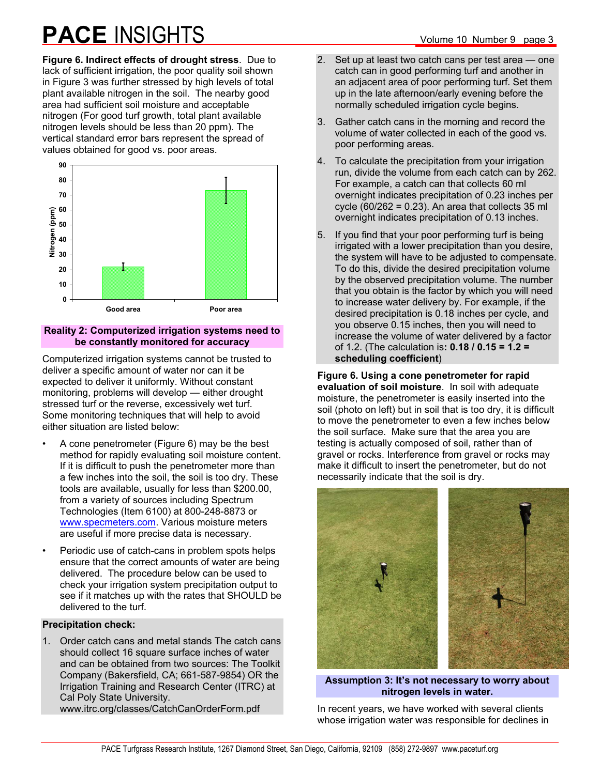**Figure 6. Indirect effects of drought stress**. Due to lack of sufficient irrigation, the poor quality soil shown in Figure 3 was further stressed by high levels of total plant available nitrogen in the soil. The nearby good area had sufficient soil moisture and acceptable nitrogen (For good turf growth, total plant available nitrogen levels should be less than 20 ppm). The vertical standard error bars represent the spread of values obtained for good vs. poor areas.



### **Reality 2: Computerized irrigation systems need to be constantly monitored for accuracy**

Computerized irrigation systems cannot be trusted to deliver a specific amount of water nor can it be expected to deliver it uniformly. Without constant monitoring, problems will develop — either drought stressed turf or the reverse, excessively wet turf. Some monitoring techniques that will help to avoid either situation are listed below:

- A cone penetrometer (Figure 6) may be the best method for rapidly evaluating soil moisture content. If it is difficult to push the penetrometer more than a few inches into the soil, the soil is too dry. These tools are available, usually for less than \$200.00, from a variety of sources including Spectrum Technologies (Item 6100) at 800-248-8873 or www.specmeters.com. Various moisture meters are useful if more precise data is necessary.
- Periodic use of catch-cans in problem spots helps ensure that the correct amounts of water are being delivered. The procedure below can be used to check your irrigation system precipitation output to see if it matches up with the rates that SHOULD be delivered to the turf.

### **Precipitation check:**

1. Order catch cans and metal stands The catch cans should collect 16 square surface inches of water and can be obtained from two sources: The Toolkit Company (Bakersfield, CA; 661-587-9854) OR the Irrigation Training and Research Center (ITRC) at Cal Poly State University. www.itrc.org/classes/CatchCanOrderForm.pdf

- 2. Set up at least two catch cans per test area one catch can in good performing turf and another in an adjacent area of poor performing turf. Set them up in the late afternoon/early evening before the normally scheduled irrigation cycle begins.
- 3. Gather catch cans in the morning and record the volume of water collected in each of the good vs. poor performing areas.
- 4. To calculate the precipitation from your irrigation run, divide the volume from each catch can by 262. For example, a catch can that collects 60 ml overnight indicates precipitation of 0.23 inches per cycle  $(60/262 = 0.23)$ . An area that collects 35 ml overnight indicates precipitation of 0.13 inches.
- 5. If you find that your poor performing turf is being irrigated with a lower precipitation than you desire, the system will have to be adjusted to compensate. To do this, divide the desired precipitation volume by the observed precipitation volume. The number that you obtain is the factor by which you will need to increase water delivery by. For example, if the desired precipitation is 0.18 inches per cycle, and you observe 0.15 inches, then you will need to increase the volume of water delivered by a factor of 1.2. (The calculation is**: 0.18 / 0.15 = 1.2 = scheduling coefficient**)

**Figure 6. Using a cone penetrometer for rapid evaluation of soil moisture**. In soil with adequate moisture, the penetrometer is easily inserted into the soil (photo on left) but in soil that is too dry, it is difficult to move the penetrometer to even a few inches below the soil surface. Make sure that the area you are testing is actually composed of soil, rather than of gravel or rocks. Interference from gravel or rocks may make it difficult to insert the penetrometer, but do not necessarily indicate that the soil is dry.



#### **Assumption 3: It's not necessary to worry about nitrogen levels in water.**

In recent years, we have worked with several clients whose irrigation water was responsible for declines in